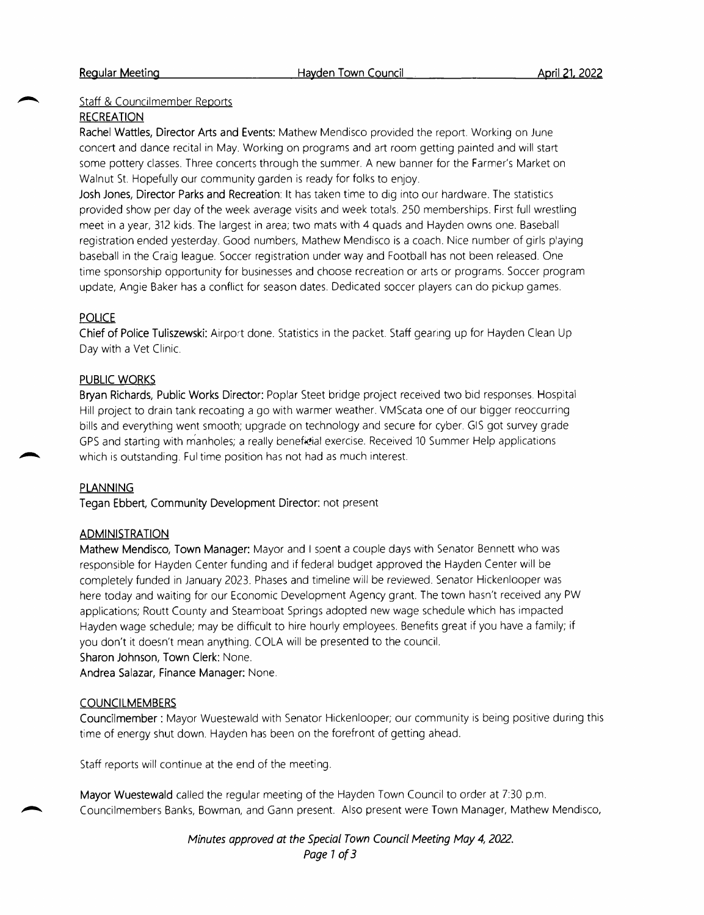## Staff & Councilmember Reports

#### RECREATION

R<mark>achel Wattles, Director Arts and Events:</mark> Mathew Mendisco provided the report. Working on June concert and dance recital in May. Working on programs and art room getting painted and will start **RECREATION**<br>Rachel Wattles, Director Arts and Events: Mathew Mendisco provided the report. Working on June<br>concert and dance recital in May. Working on programs and art room getting painted and will start<br>some pottery cla Walnut St. Hopefully our community garden is ready for folks to enjoy.

Josh Jones, Director Parks and Recreation: It has taken time to dig into our hardware. The statistics provided show per day of the week average visits and week totals. 250 memberships. First full wrestling meet in <sup>a</sup> year, 312 kids. The largest in area; two mats with <sup>4</sup> quads and Hayden owns one. Baseball registration ended yesterday. Good numbers, Mathew Mendisco is <sup>a</sup> coach. Nice number of girls playing baseball in the Craig league. Soccer registration under way and Football has not been released. One time sponsorship opportunity for businesses and choose recreation or arts or programs. Soccer program update, Angie Baker has <sup>a</sup> conflict for season dates. Dedicated soccer players can do pickup games.

## **POLICE**

Chief of Police Tuliszewski: Airport done. Statistics in the packet. Staff gearing up for Hayden Clean Up Day with <sup>a</sup> Vet Clinic.

#### PUBLIC WORKS

Bryan Richards, Public Works Director: Poplar Steet bridge project received two bid responses. Hospital Hill project to drain tank recoating <sup>a</sup> go with warmer weather. VMScata one of our bigger reoccurring bills and everything went smooth; upgrade on technology and secure for cyber. GIS got survey grade GPS and starting with manholes; a really beneficial exercise. Received 10 Summer Help application which is outstanding. Ful time position has not had as much interest.

#### PLANNING

Tegan Ebbert, Community Development Director: not present

#### ADMINISTRATION

Mathew Mendisco, Town Manager: Mayor and I spent a couple days with Senator Bennett who was responsible for Hayden Center funding and if federal budget approved the Hayden Center will be completely funded in January 2023. Phases and timeline will be reviewed. Senator Hickenlooper was **ADMINISTRATION**<br>Mathew Mendisco, Town Manager: Mayor and I spent a couple days with Senator Bennett who was<br>responsible for Hayden Center funding and if federal budget approved the Hayden Center will be<br>completely funded applications; Routt County and Steamboat Springs adopted new wage schedule which has impacted Hayden wage schedule; may be difficult to hire hourly employees. Benefits great if you have <sup>a</sup> family; if responsible for Hayden Center funding and if federal budget approved the completely funded in January 2023. Phases and timeline will be reviewed. Shere today and waiting for our Economic Development Agency grant. The appli Sharon Johnson, Town Clerk: None.

Andrea Salazar, Finance Manager: None.

# **COUNCILMEMBERS**

Councilmember : Mayor Wuestewald with Senator Hickenlooper; our community is being positive during this time of energy shut down. Hayden has been on the forefront of getting ahead.

Staff reports will continue at the end of the meeting.

Mayor Wuestewald called the regular meeting of the Hayden Town Council to order at 7:30 p.m. Councilmembers Banks, Bowman, and Gann present. Also present were Town Manager, Mathew Mendisco,

> Minutes approved at the Special Town Council Meeting May 4, 2022. Page <sup>1</sup> of 3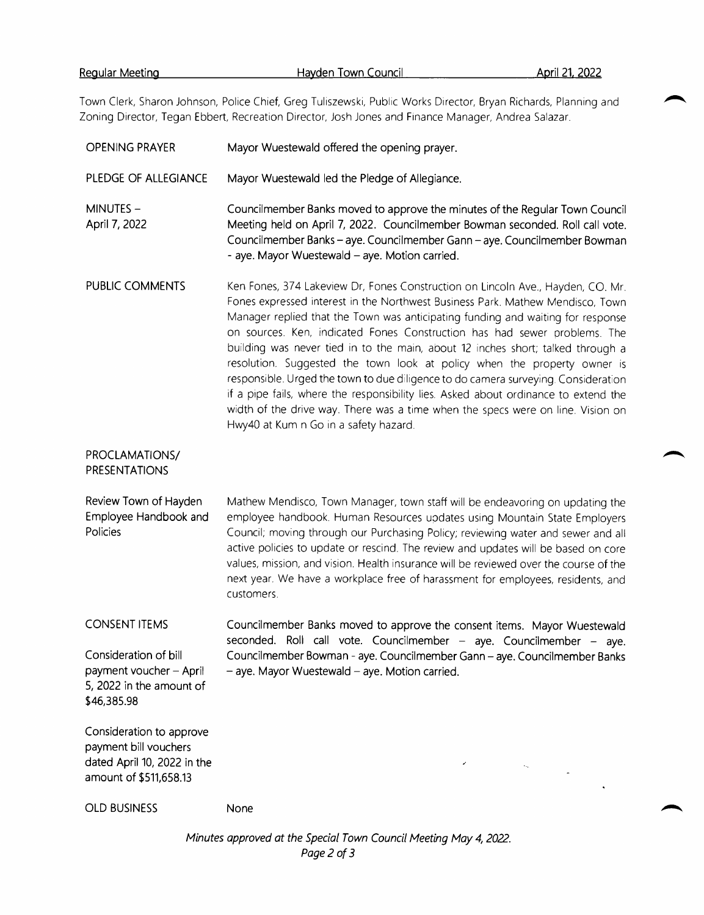Town Clerk, Sharon Johnson, Police Chief, Greg Tuliszewski, Public Works Director, Bryan Richards, Planning and Zoning Director, Tegan Ebbert, Recreation Director, Josh Jones and Finance Manager, Andrea Salazar.

| <b>OPENING PRAYER</b>                                                                                      | Mayor Wuestewald offered the opening prayer.                                                                                                                                                                                                                                                                                                                                                                                                                                                                                                                                                                                                                                                                                                                                                              |
|------------------------------------------------------------------------------------------------------------|-----------------------------------------------------------------------------------------------------------------------------------------------------------------------------------------------------------------------------------------------------------------------------------------------------------------------------------------------------------------------------------------------------------------------------------------------------------------------------------------------------------------------------------------------------------------------------------------------------------------------------------------------------------------------------------------------------------------------------------------------------------------------------------------------------------|
| PLEDGE OF ALLEGIANCE                                                                                       | Mayor Wuestewald led the Pledge of Allegiance.                                                                                                                                                                                                                                                                                                                                                                                                                                                                                                                                                                                                                                                                                                                                                            |
| MINUTES-<br>April 7, 2022                                                                                  | Councilmember Banks moved to approve the minutes of the Regular Town Council<br>Meeting held on April 7, 2022. Councilmember Bowman seconded. Roll call vote.<br>Councilmember Banks - aye. Councilmember Gann - aye. Councilmember Bowman<br>- aye. Mayor Wuestewald - aye. Motion carried.                                                                                                                                                                                                                                                                                                                                                                                                                                                                                                              |
| PUBLIC COMMENTS                                                                                            | Ken Fones, 374 Lakeview Dr, Fones Construction on Lincoln Ave., Hayden, CO. Mr.<br>Fones expressed interest in the Northwest Business Park. Mathew Mendisco, Town<br>Manager replied that the Town was anticipating funding and waiting for response<br>on sources. Ken, indicated Fones Construction has had sewer problems. The<br>building was never tied in to the main, about 12 inches short; talked through a<br>resolution. Suggested the town look at policy when the property owner is<br>responsible. Urged the town to due diligence to do camera surveying. Consideration<br>if a pipe fails, where the responsibility lies. Asked about ordinance to extend the<br>width of the drive way. There was a time when the specs were on line. Vision on<br>Hwy40 at Kum n Go in a safety hazard. |
| PROCLAMATIONS/<br><b>PRESENTATIONS</b>                                                                     |                                                                                                                                                                                                                                                                                                                                                                                                                                                                                                                                                                                                                                                                                                                                                                                                           |
| Review Town of Hayden<br>Employee Handbook and<br>Policies                                                 | Mathew Mendisco, Town Manager, town staff will be endeavoring on updating the<br>employee handbook. Human Resources updates using Mountain State Employers<br>Council; moving through our Purchasing Policy; reviewing water and sewer and all<br>active policies to update or rescind. The review and updates will be based on core<br>values, mission, and vision. Health insurance will be reviewed over the course of the<br>next year. We have a workplace free of harassment for employees, residents, and<br>customers.                                                                                                                                                                                                                                                                            |
| <b>CONSENT ITEMS</b>                                                                                       | Councilmember Banks moved to approve the consent items. Mayor Wuestewald<br>seconded. Roll call vote. Councilmember - aye. Councilmember - aye.                                                                                                                                                                                                                                                                                                                                                                                                                                                                                                                                                                                                                                                           |
| Consideration of bill<br>payment voucher - April<br>5, 2022 in the amount of<br>\$46,385.98                | Councilmember Bowman - aye. Councilmember Gann - aye. Councilmember Banks<br>- aye. Mayor Wuestewald - aye. Motion carried.                                                                                                                                                                                                                                                                                                                                                                                                                                                                                                                                                                                                                                                                               |
| Consideration to approve<br>payment bill vouchers<br>dated April 10, 2022 in the<br>amount of \$511,658.13 |                                                                                                                                                                                                                                                                                                                                                                                                                                                                                                                                                                                                                                                                                                                                                                                                           |
| <b>OLD BUSINESS</b>                                                                                        | None                                                                                                                                                                                                                                                                                                                                                                                                                                                                                                                                                                                                                                                                                                                                                                                                      |